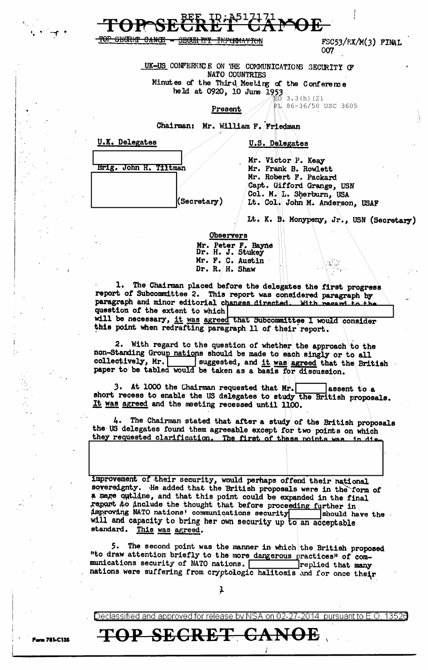

## <del>TOP SIXORI-T</del>

<del>SRCIM TPY</del>

 $FSC53/EX/M(3)$  FINAL 007

UK-US CONFERENCE ON THE COMMUNICATIONS SECURITY OF **NATO COUNTRIES** Minutes of the Third Meeting of the Conference

<del>FN:P(17Ma4'' T() N</del>

des divine intervalse 1953<br>held at 0920, 10 June 1953

PL 86-36/50 USC 3605

U.S. Delegates

Present

Chairman: Mr. William F. Friedman



<del>CANŒ</del>

Mr. Victor P. Keay Mr. Frank B. Rowlett Mr. Robert F. Packard Capt. Gifford Grange, USN Col. M. L. Sherburn, USA Lt. Col. John M. Anderson, USAF

Lt. K. B. Monypeny, Jr., USN (Secretary)

 $\hat{a}_{\mu\nu}$  .

**Observers** Mr. Peter F. Bayne Dr. H. J. Stukey Mr. F. C. Austin Dr. R.  $H.$  Shaw

1. The Chairman placed before the delegates the first progress report of Subcommittee 2. This report was considered paragraph by paragraph and minor editorial changes directed. With regard to the question of the extent to which will be necessary, it was agreed that Subcommittee 1 would consider

this point when redrafting paragraph 11 of their report.

2. With regard to the question of whether the approach to the non-Standing Group nations should be made to each singly or to all collectively, Mr. | suggested, and it was agreed that the British paper to be tabled would be taken as a basis for discussion.

3. At 1000 the Chairman requested that Mr. assent to a short recess to enable the US delegates to study the British proposals. It was agreed and the meeting recessed until 1100.

4. The Chairman stated that after a study of the British proposals the US delegates found them agreeable except for two points on which they requested clarification. The first of these noints was in dis-

improvement of their security, would perhaps offend their national sovereignty. He added that the British proposals were in the form of a mere outline, and that this point could be expanded in the final<br>report to anclude the thought that before proceeding further in improving NATO nations' communications security should have the will and capacity to bring her own security up to an acceptable standard. This was agreed.

5. The second point was the manner in which the British proposed "to draw attention briefly to the more dangerous practices" of communications security of NATO nations. replied that many nations were suffering from cryptologic halitosis and for once their

ļ

TOP SECRET CANOE

Declassified and approved for release by NSA on 02-27-2014 pursuant to E.O. 13526